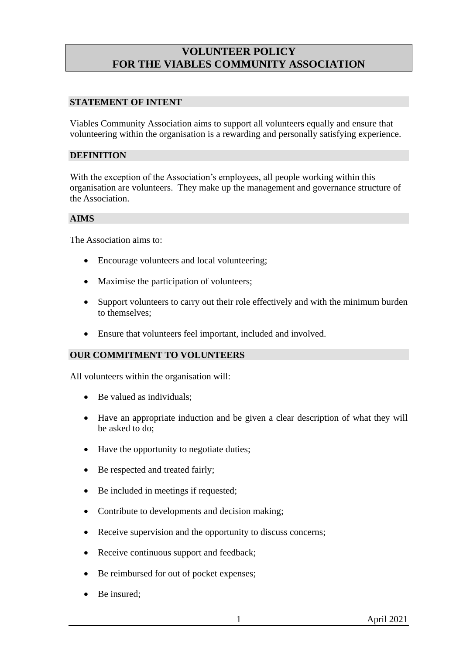# **VOLUNTEER POLICY FOR THE VIABLES COMMUNITY ASSOCIATION**

#### **STATEMENT OF INTENT**

Viables Community Association aims to support all volunteers equally and ensure that volunteering within the organisation is a rewarding and personally satisfying experience.

#### **DEFINITION**

With the exception of the Association's employees, all people working within this organisation are volunteers. They make up the management and governance structure of the Association.

#### **AIMS**

The Association aims to:

- Encourage volunteers and local volunteering;
- Maximise the participation of volunteers:
- Support volunteers to carry out their role effectively and with the minimum burden to themselves;
- Ensure that volunteers feel important, included and involved.

### **OUR COMMITMENT TO VOLUNTEERS**

All volunteers within the organisation will:

- Be valued as individuals:
- Have an appropriate induction and be given a clear description of what they will be asked to do;
- Have the opportunity to negotiate duties;
- Be respected and treated fairly;
- Be included in meetings if requested;
- Contribute to developments and decision making;
- Receive supervision and the opportunity to discuss concerns;
- Receive continuous support and feedback;
- Be reimbursed for out of pocket expenses;
- Be insured;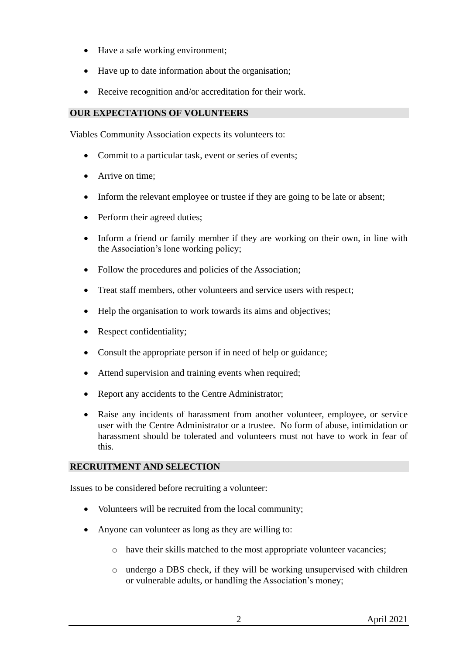- Have a safe working environment;
- Have up to date information about the organisation;
- Receive recognition and/or accreditation for their work.

## **OUR EXPECTATIONS OF VOLUNTEERS**

Viables Community Association expects its volunteers to:

- Commit to a particular task, event or series of events;
- Arrive on time:
- Inform the relevant employee or trustee if they are going to be late or absent;
- Perform their agreed duties;
- Inform a friend or family member if they are working on their own, in line with the Association's lone working policy;
- Follow the procedures and policies of the Association:
- Treat staff members, other volunteers and service users with respect;
- Help the organisation to work towards its aims and objectives:
- Respect confidentiality;
- Consult the appropriate person if in need of help or guidance;
- Attend supervision and training events when required;
- Report any accidents to the Centre Administrator;
- Raise any incidents of harassment from another volunteer, employee, or service user with the Centre Administrator or a trustee. No form of abuse, intimidation or harassment should be tolerated and volunteers must not have to work in fear of this.

## **RECRUITMENT AND SELECTION**

Issues to be considered before recruiting a volunteer:

- Volunteers will be recruited from the local community;
- Anyone can volunteer as long as they are willing to:
	- o have their skills matched to the most appropriate volunteer vacancies;
	- o undergo a DBS check, if they will be working unsupervised with children or vulnerable adults, or handling the Association's money;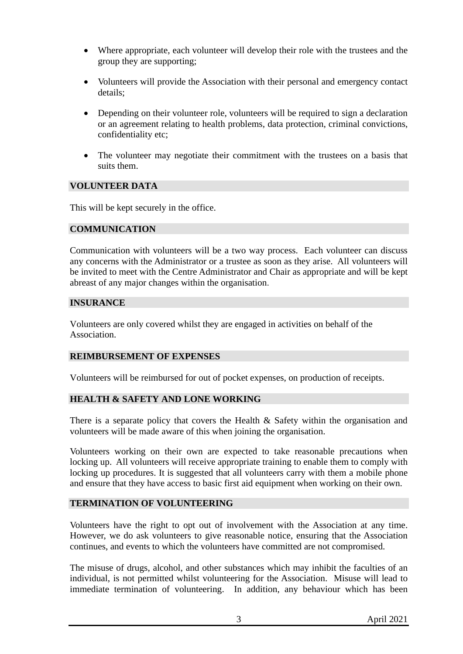- Where appropriate, each volunteer will develop their role with the trustees and the group they are supporting;
- Volunteers will provide the Association with their personal and emergency contact details;
- Depending on their volunteer role, volunteers will be required to sign a declaration or an agreement relating to health problems, data protection, criminal convictions, confidentiality etc;
- The volunteer may negotiate their commitment with the trustees on a basis that suits them.

#### **VOLUNTEER DATA**

This will be kept securely in the office.

#### **COMMUNICATION**

Communication with volunteers will be a two way process. Each volunteer can discuss any concerns with the Administrator or a trustee as soon as they arise. All volunteers will be invited to meet with the Centre Administrator and Chair as appropriate and will be kept abreast of any major changes within the organisation.

#### **INSURANCE**

Volunteers are only covered whilst they are engaged in activities on behalf of the Association.

## **REIMBURSEMENT OF EXPENSES**

Volunteers will be reimbursed for out of pocket expenses, on production of receipts.

## **HEALTH & SAFETY AND LONE WORKING**

There is a separate policy that covers the Health & Safety within the organisation and volunteers will be made aware of this when joining the organisation.

Volunteers working on their own are expected to take reasonable precautions when locking up. All volunteers will receive appropriate training to enable them to comply with locking up procedures. It is suggested that all volunteers carry with them a mobile phone and ensure that they have access to basic first aid equipment when working on their own.

#### **TERMINATION OF VOLUNTEERING**

Volunteers have the right to opt out of involvement with the Association at any time. However, we do ask volunteers to give reasonable notice, ensuring that the Association continues, and events to which the volunteers have committed are not compromised.

The misuse of drugs, alcohol, and other substances which may inhibit the faculties of an individual, is not permitted whilst volunteering for the Association. Misuse will lead to immediate termination of volunteering. In addition, any behaviour which has been